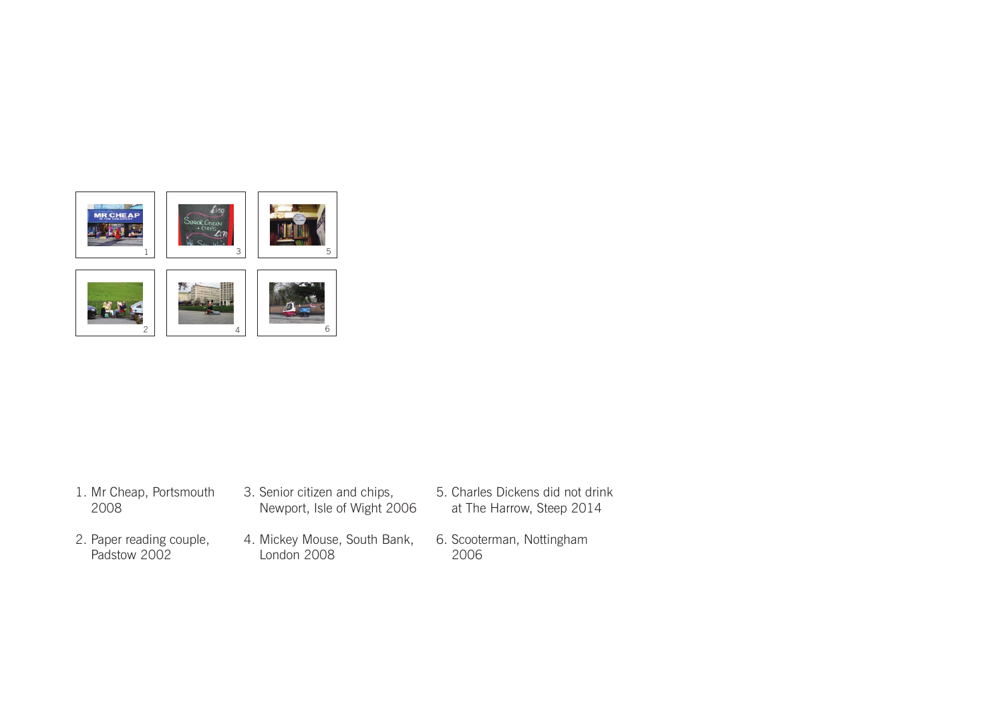

- 1. Mr Cheap, Portsmouth 2008
- 2. Paper reading couple, Padstow 2002
- 3. Senior citizen and chips, Newport, Isle of Wight 2006
- 4. Mickey Mouse, South Bank, London 2008
- 5. Charles Dickens did not drink at The Harrow, Steep 2014
	- 6. Scooterman, Nottingham 2006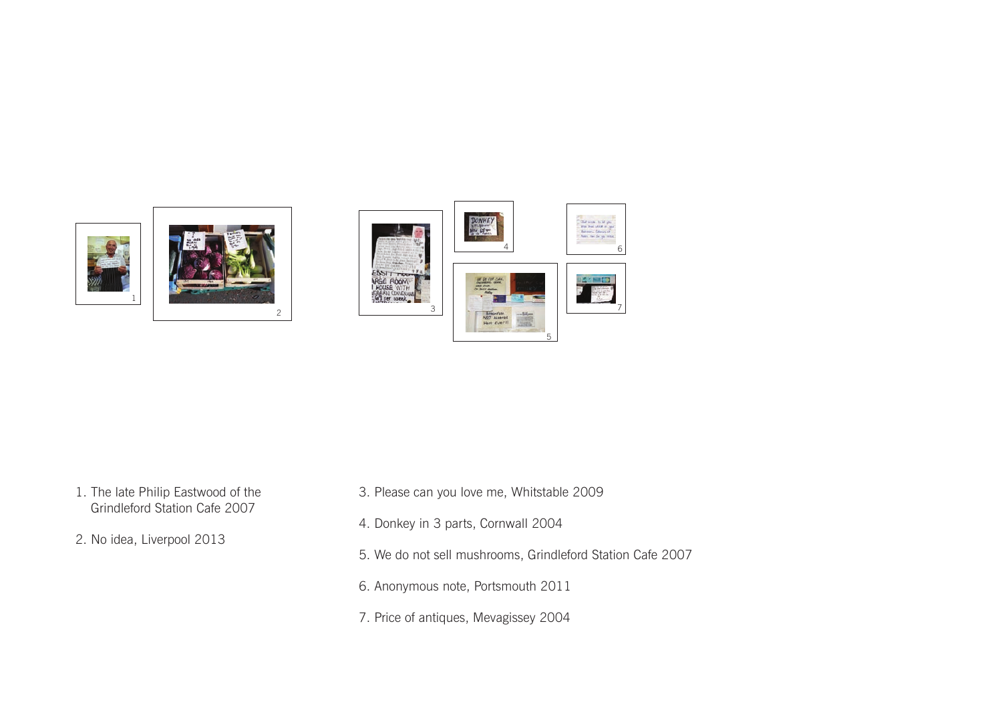

- 1. The late Philip Eastwood of the Grindleford Station Cafe 2007
- 2. No idea, Liverpool 2013
- 3. Please can you love me, Whitstable 2009
- 4. Donkey in 3 parts, Cornwall 2004
- 5. We do not sell mushrooms, Grindleford Station Cafe 2007
- 6. Anonymous note, Portsmouth 2011
- 7. Price of antiques, Mevagissey 2004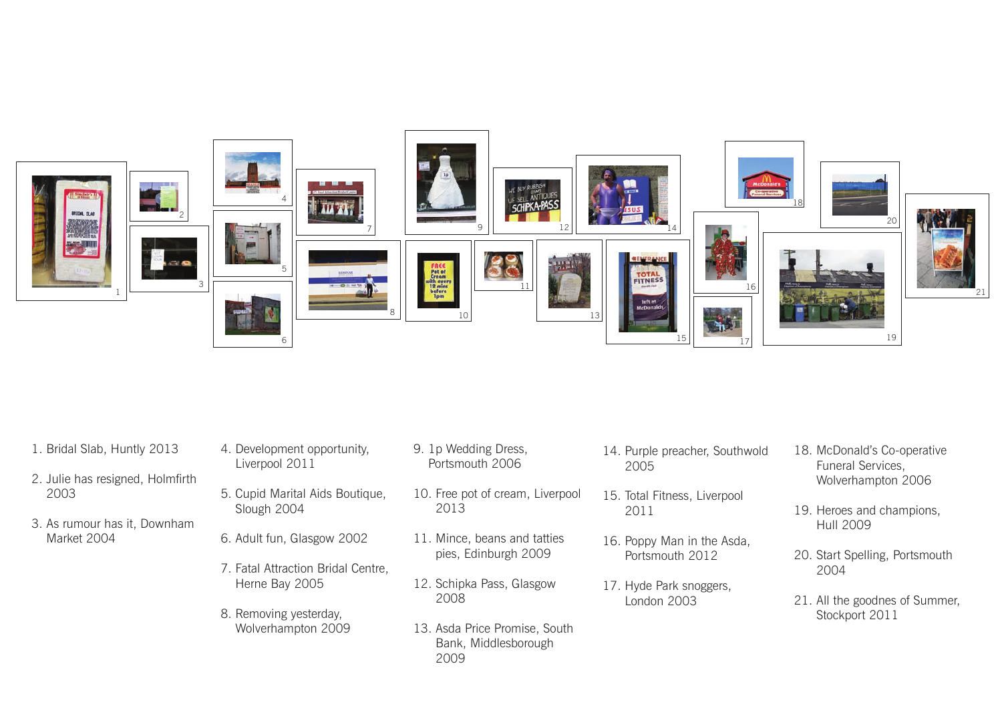

- 1. Bridal Slab, Huntly 2013
- 2. Julie has resigned, Holmfirth 2003
- 3. As rumour has it, Downham Market 2004
- 4. Development opportunity, Liverpool 2011
- 5. Cupid Marital Aids Boutique, Slough 2004
- 6. Adult fun, Glasgow 2002
- 7. Fatal Attraction Bridal Centre, Herne Bay 2005
- 8. Removing yesterday, Wolverhampton 2009
- 9. 1p Wedding Dress, Portsmouth 2006
- 10. Free pot of cream, Liverpool 2013
- 11. Mince, beans and tatties pies, Edinburgh 2009
- 12. Schipka Pass, Glasgow 2008
- 13. Asda Price Promise, South Bank, Middlesborough 2009
- 14. Purple preacher, Southwold 2005
- 15. Total Fitness, Liverpool 2011
- 16. Poppy Man in the Asda, Portsmouth 2012
- 17. Hyde Park snoggers, London 2003
- 18. McDonald's Co-operative Funeral Services, Wolverhampton 2006
- 19. Heroes and champions, Hull 2009
- 20. Start Spelling, Portsmouth 2004
- 21. All the goodnes of Summer, Stockport 2011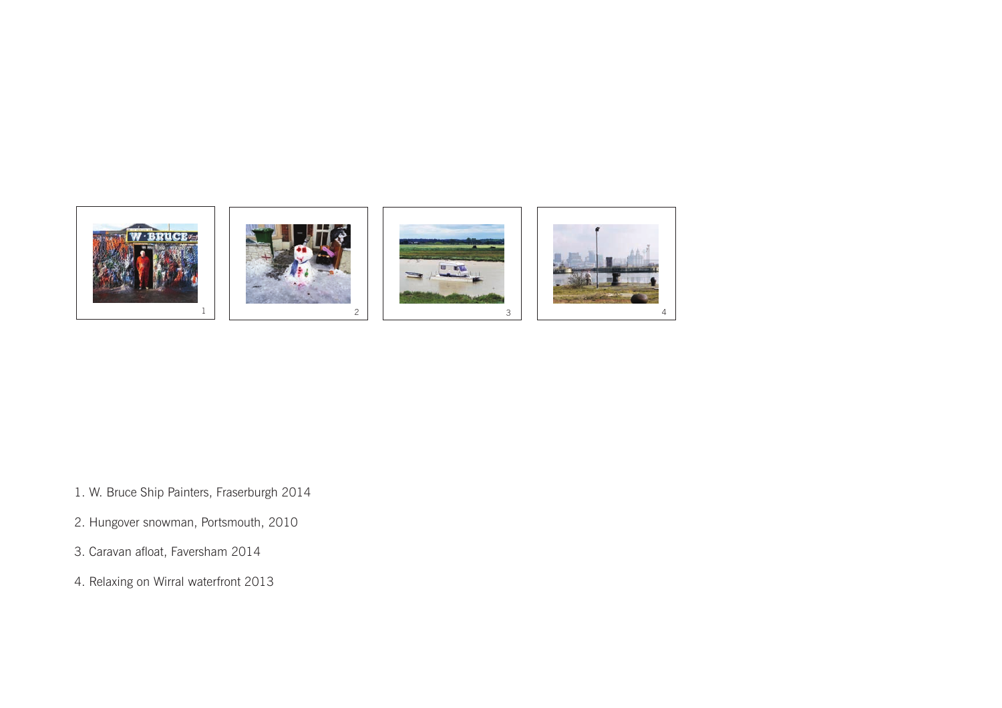

- 1. W. Bruce Ship Painters, Fraserburgh 2014
- 2. Hungover snowman, Portsmouth, 2010
- 3. Caravan afloat, Faversham 2014
- 4. Relaxing on Wirral waterfront 2013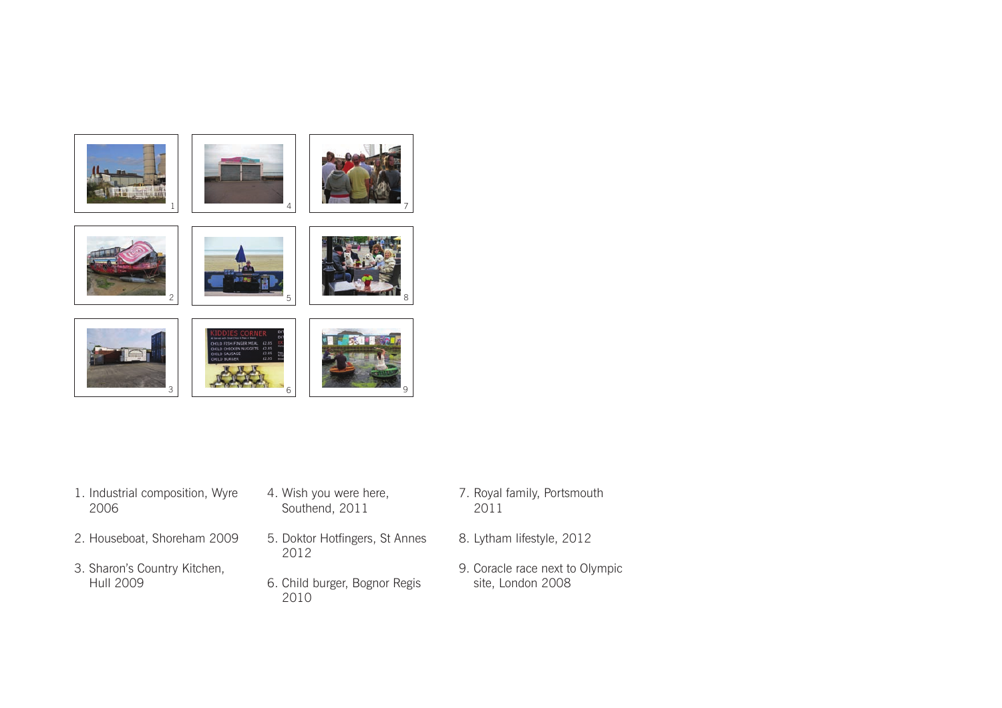

- 1. Industrial composition, Wyre 2006
- 2. Houseboat, Shoreham 2009
- 3. Sharon's Country Kitchen, Hull 2009
- 4. Wish you were here, Southend, 2011
- 5. Doktor Hotfingers, St Annes 2012
- 6. Child burger, Bognor Regis 2010
- 7. Royal family, Portsmouth 2011
- 8. Lytham lifestyle, 2012
- 9. Coracle race next to Olympic site, London 2008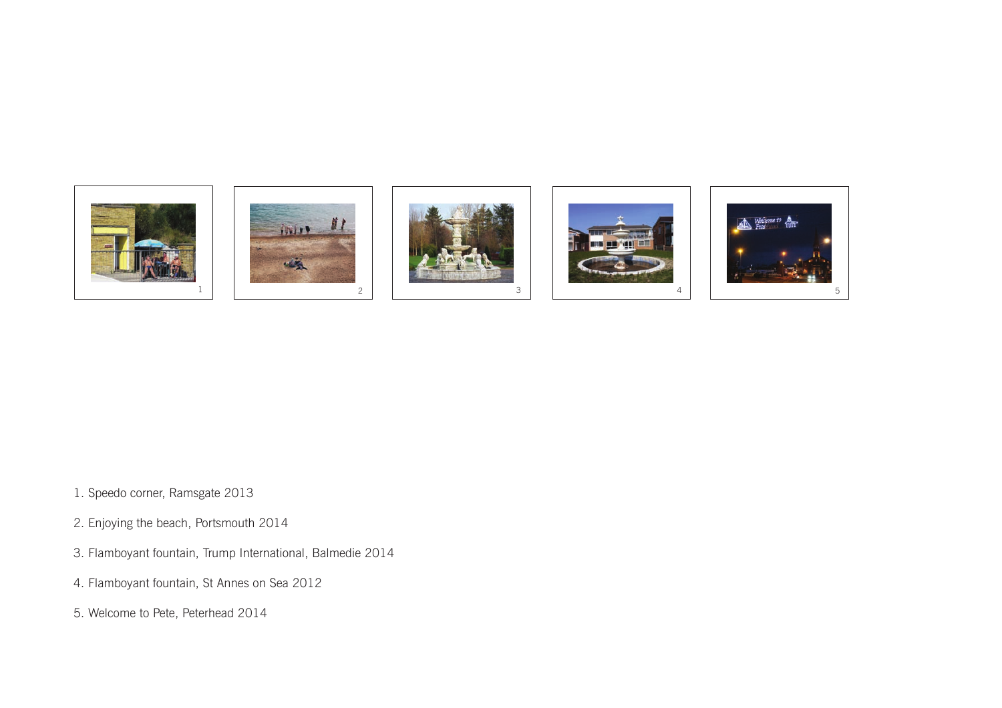

- 1. Speedo corner, Ramsgate 2013
- 2. Enjoying the beach, Portsmouth 2014
- 3. Flamboyant fountain, Trump International, Balmedie 2014
- 4. Flamboyant fountain, St Annes on Sea 2012
- 5. Welcome to Pete, Peterhead 2014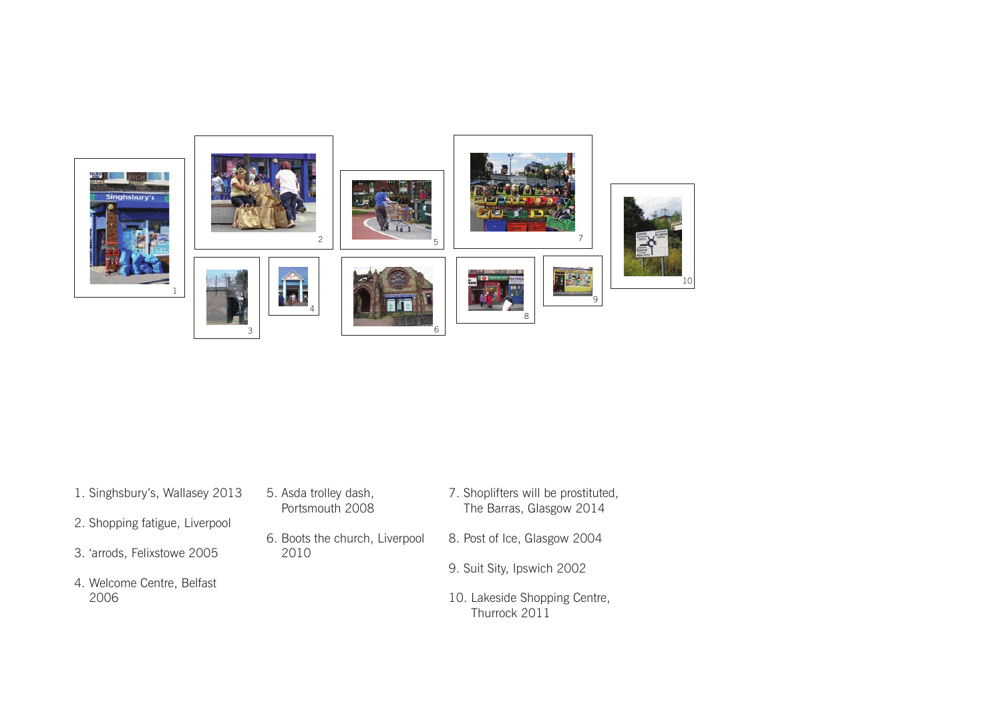

| 1. Singhsbury's, Wallasey 2013 | 5. Asda trolley dash,<br>Portsmouth 2008 | 7. Shoplifters will be prostituted,<br>The Barras, Glasgow 2014 |
|--------------------------------|------------------------------------------|-----------------------------------------------------------------|
| 2. Shopping fatigue, Liverpool |                                          |                                                                 |
| 3. 'arrods, Felixstowe 2005    | 6. Boots the church, Liverpool<br>2010   | 8. Post of Ice, Glasgow 2004                                    |
|                                |                                          | 9. Suit Sity, Ipswich 2002                                      |
| 4. Welcome Centre, Belfast     |                                          |                                                                 |
| 2006                           |                                          | 10. Lakeside Shopping Centre,<br>Thurrock 2011                  |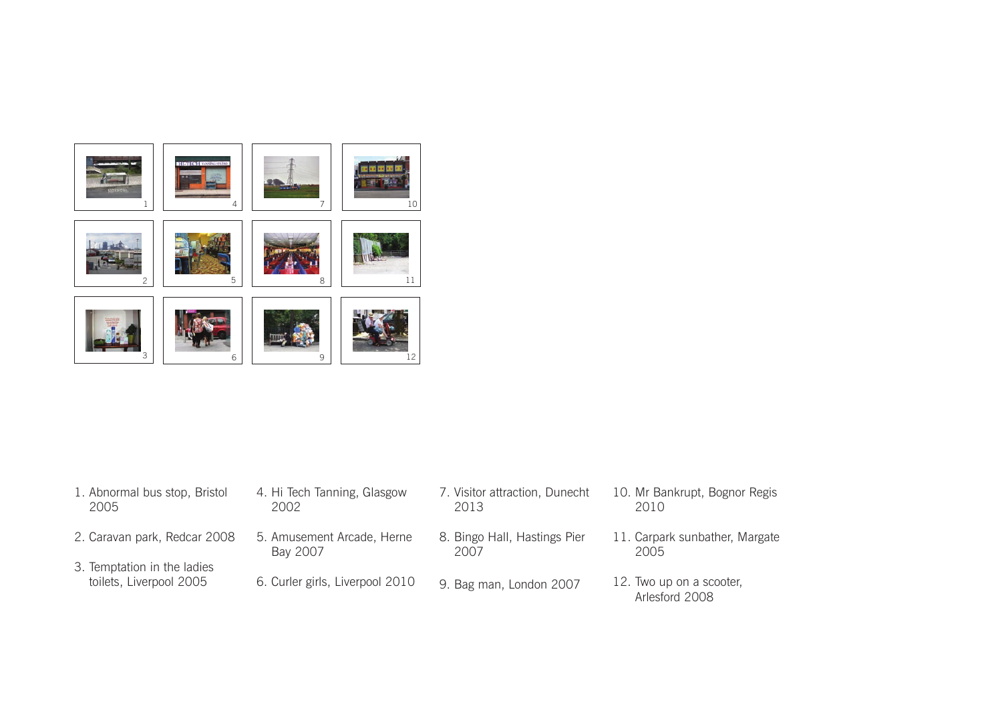

| 1. Abnormal bus stop, Bristol                          | 4. Hi Tech Tanning, Glasgow     | 7. Visitor attraction, Dunecht | 10. Mr Bankrupt, Bognor Regis              |
|--------------------------------------------------------|---------------------------------|--------------------------------|--------------------------------------------|
| 2005                                                   | 2002                            | 2013                           | 2010                                       |
| 2. Caravan park, Redcar 2008                           | 5. Amusement Arcade, Herne      | 8. Bingo Hall, Hastings Pier   | 11. Carpark sunbather, Margate             |
|                                                        | Bay 2007                        | 2007                           | 2005                                       |
| 3. Temptation in the ladies<br>toilets, Liverpool 2005 | 6. Curler girls, Liverpool 2010 | 9. Bag man, London 2007        | 12. Two up on a scooter,<br>Arlesford 2008 |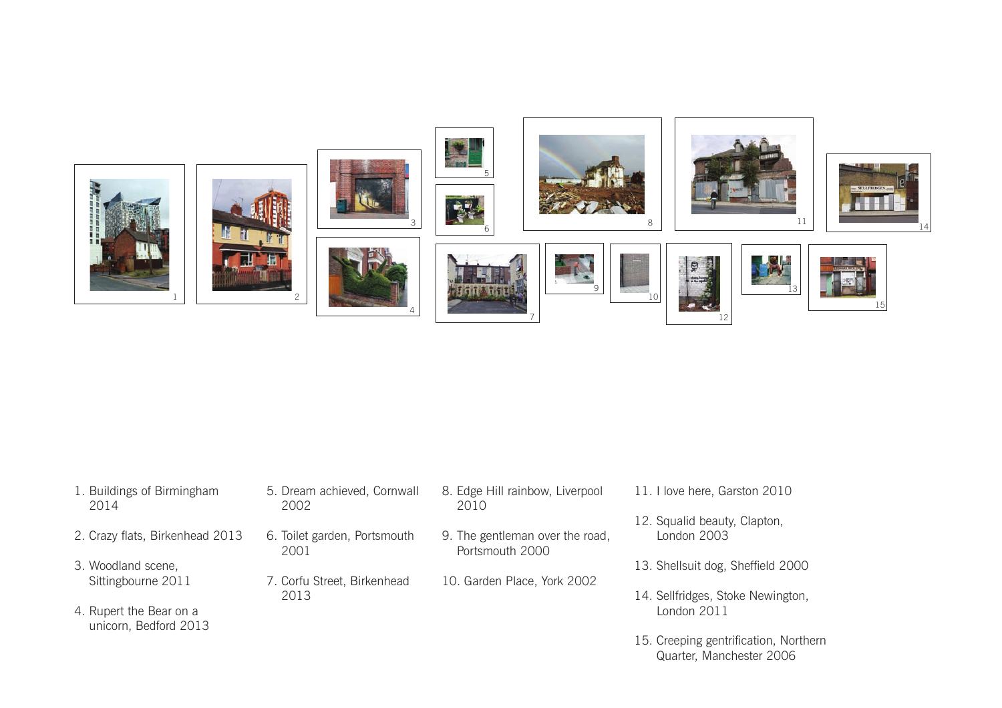

| 1. Buildings of Birmingham<br>2014               | 2002 | 5. Dream achieved, Cornwall  | 8. Edge Hill rainbow, Liverpool<br>2010            | 11. I love here, Garston 2010               |
|--------------------------------------------------|------|------------------------------|----------------------------------------------------|---------------------------------------------|
| 2. Crazy flats, Birkenhead 2013                  | 2001 | 6. Toilet garden, Portsmouth | 9. The gentleman over the road,<br>Portsmouth 2000 | 12. Squalid beauty, Clapton,<br>London 2003 |
| 3. Woodland scene,                               |      |                              |                                                    | 13. Shellsuit dog, Sheffield 2000           |
| Sittingbourne 2011                               |      | 7. Corfu Street, Birkenhead  | 10. Garden Place, York 2002                        |                                             |
|                                                  | 2013 |                              |                                                    | 14. Sellfridges, Stoke Newington,           |
| 4. Rupert the Bear on a<br>unicorn, Bedford 2013 |      |                              |                                                    | London 2011                                 |
|                                                  |      |                              |                                                    |                                             |

15. Creeping gentrification, Northern Quarter, Manchester 2006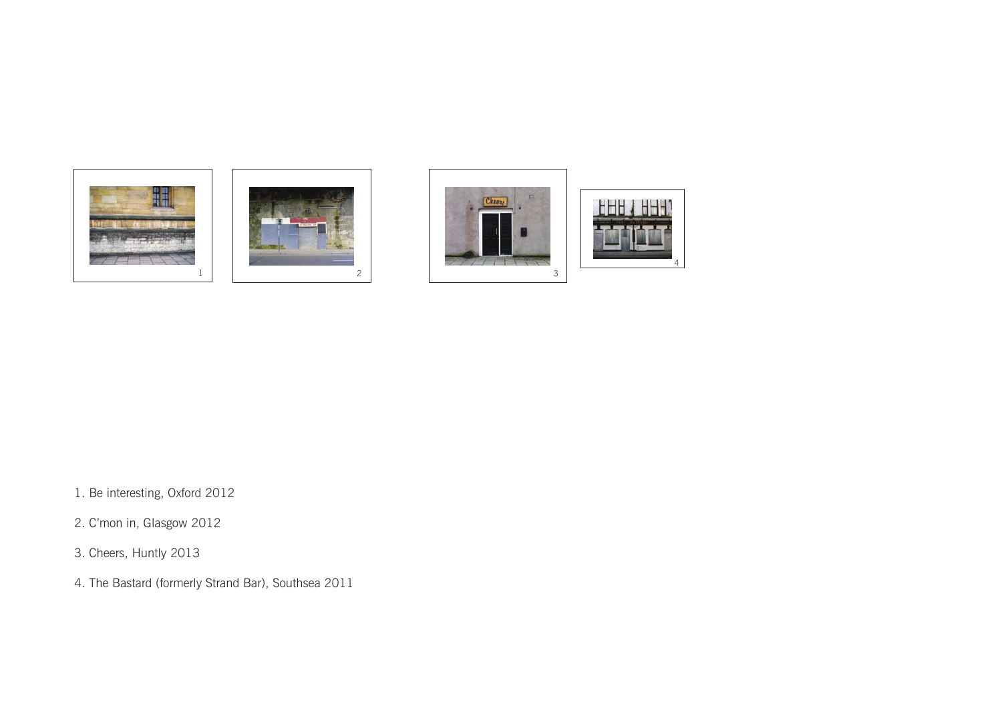







1. Be interesting, Oxford 2012

2. C'mon in, Glasgow 2012

3. Cheers, Huntly 2013

4. The Bastard (formerly Strand Bar), Southsea 2011